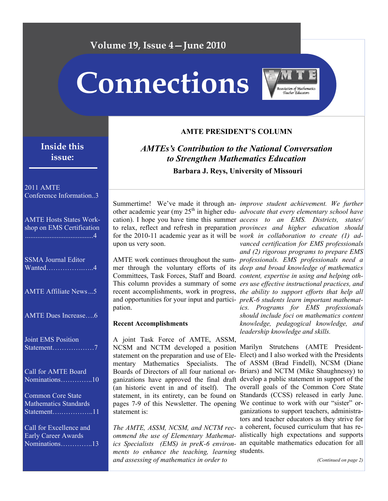## **Volume 19, Issue 4—June 2010**

# **Connections**



## **Inside this issue:**

#### 2011 AMTE Conference Information..3

| <b>AMTE Hosts States Work-</b><br>shop on EMS Certification<br>.        |
|-------------------------------------------------------------------------|
| <b>SSMA</b> Journal Editor<br>Wanted4                                   |
| <b>AMTE Affiliate News5</b>                                             |
| <b>AMTE Dues Increase6</b>                                              |
| <b>Joint EMS Position</b><br>Statement7                                 |
| <b>Call for AMTE Board</b><br>Nominations10                             |
| <b>Common Core State</b><br><b>Mathematics Standards</b><br>Statement11 |
| Call for Excellence and<br><b>Early Career Awards</b><br>Nominations13  |

### *AMTEs's Contribution to the National Conversation*

**AMTE PRESIDENT'S COLUMN** 

*to Strengthen Mathematics Education*

**Barbara J. Reys, University of Missouri** 

Summertime! We've made it through an-*improve student achievement. We further*  cation). I hope you have time this summer *access to an EMS. Districts, states/* for the 2010-11 academic year as it will be *work in collaboration to create (1) ad*upon us very soon.

Committees, Task Forces, Staff and Board. *content, expertise in using and helping oth*and opportunities for your input and partici-*preK-6 students learn important mathemat*pation.

#### **Recent Accomplishments**

A joint Task Force of AMTE, ASSM, NCSM and NCTM developed a position Marilyn Strutchens (AMTE Presidentpages 7-9 of this Newsletter. The opening We continue to work with our "sister" orstatement is:

*ments to enhance the teaching, learning*  students. *and assessing of mathematics in order to* 

other academic year (my 25<sup>th</sup> in higher edu- *advocate that every elementary school have* to relax, reflect and refresh in preparation *provinces and higher education should*  AMTE work continues throughout the sum-*professionals. EMS professionals need a*  mer through the voluntary efforts of its *deep and broad knowledge of mathematics*  This column provides a summary of some *ers use effective instructional practices, and*  recent accomplishments, work in progress, *the ability to support efforts that help all vanced certification for EMS professionals and (2) rigorous programs to prepare EMS ics. Programs for EMS professionals should include foci on mathematics content knowledge, pedagogical knowledge, and leadership knowledge and skills.* 

statement on the preparation and use of Ele-Elect) and I also worked with the Presidents mentary Mathematics Specialists. The of ASSM (Brad Findell), NCSM (Diane Boards of Directors of all four national or-Briars) and NCTM (Mike Shaughnessy) to ganizations have approved the final draft develop a public statement in support of the (an historic event in and of itself). The overall goals of the Common Core State statement, in its entirety, can be found on Standards (CCSS) released in early June. *The AMTE, ASSM, NCSM, and NCTM rec-*a coherent, focused curriculum that has re*ommend the use of Elementary Mathemat-*alistically high expectations and supports *ics Specialists (EMS) in preK-6 environ-*an equitable mathematics education for all ganizations to support teachers, administrators and teacher educators as they strive for

*(Continued on page 2)*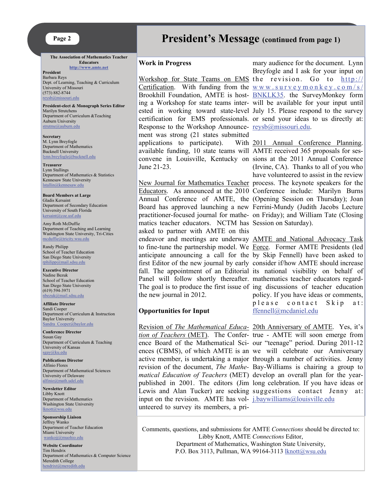#### **Page 2**

**The Association of Mathematics Teacher Educators [http://www.amte.ne](http://www.amte.net)t**

**President**  Barbara Reys Dept. of Learning, Teaching & Curriculum University of Missouri (573) 882-8744 [reysb@missouri.edu](mailto:reysb@missouri.edu)

**President-elect & Monograph Series Editor**  Marilyn Strutchens Department of Curriculum &Teaching Auburn University [strutme@auburn.edu](mailto:strutme@auburn.edu)

**Secretary** M. Lynn Breyfogle Department of Mathematics Bucknell University [lynn.breyfogle@bucknell.edu](mailto:lynn.breyfogle@bucknell.edu)

**Treasurer** Lynn Stallings Department of Mathematics & Statistics Kennesaw State University [lstallin@kennesaw.edu](mailto:lstallin@kennesaw.edu)

**Board Members at Large** Gladis Kersaint Department of Secondary Education University of South Florida [kersaint@coe.usf.edu](mailto:kersaint@coe.usf.edu)

Amy Roth McDuffie Department of Teaching and Learning Washington State University, Tri-Cities [mcduffie@tricity.wsu.edu](mailto:mcduffie@tricity.wsu.edu)

Randy Philipp School of Teacher Education San Diego State University [rphilipp@mail.sdsu.edu](mailto:rphilipp@mail.sdsu.edu)

#### **Executive Director** Nadine Bezuk School of Teacher Education San Diego State University (619) 594-3971 [nbezuk@mail.sdsu.edu](mailto:nbezuk@mail.sdsu.edu)

**Affiliate Director**  Sandi Cooper Department of Curriculum & Instruction Baylor University Sandra Cooper@baylor.edu

**Conference Director**  Susan Gay Department of Curriculum & Teaching University of Kansas [sgay@ku.edu](mailto:sgay@ku.edu)

**Publications Director**  Alfinio Flores Department of Mathematical Sciences University of Delaware [alfinio@math.udel.edu](mailto:alfinio@math.udel.edu)

**Newsletter Editor** Libby Knott Department of Mathematics Washington State University [lknott@wsu.edu](mailto:lknott@wsu.edu)

**Sponsorship Liaison**  Jeffrey Wanko Department of Teacher Education Miami University [wankojj@muohio.edu](mailto:wankojj@muohio.edu)

**Website Coordinator** Tim Hendrix Department of Mathematics & Computer Science Meredith College [hendrixt@meredith.edu](mailto:hendrixt@meredith.edu)

## **President's Message (continued from page 1)**

#### **Work in Progress**

Response to the Workshop Announce- [reysb@missouri.edu](mailto:reysb@missouri.edu). ment was strong (21 states submitted applications to participate). available funding, 10 state teams will AMTE received 365 proposals for ses-June 21-23.

New Journal for Mathematics Teacher process. The keynote speakers for the Educators. As announced at the 2010 Conference include: Marilyn Burns Annual Conference of AMTE, the (Opening Session on Thursday); Joan Board has approved launching a new Ferrini-Mundy (Judith Jacobs Lecture practitioner-focused journal for mathe-on Friday); and William Tate (Closing matics teacher educators. NCTM has Session on Saturday). asked to partner with AMTE on this Panel will follow shortly thereafter. mathematics teacher educators regardthe new journal in 2012.

#### **Opportunities for Input**

input on the revision. AMTE has vol- *[j.baywilliams@louisville.edu](mailto:j.baywilliams@louisville.edu)* unteered to survey its members, a pri-

Workshop for State Teams on EMS the revision. Go to [http://](http://www.surveymonkey.com/s/BNKLK35) Certification. With funding from the  $www$ .surveymonkey.com/s/ Brookhill Foundation, AMTE is host- **BNKLK35**. the SurveyMonkey form ing a Workshop for state teams inter-will be available for your input until ested in working toward state-level July 15. Please respond to the survey certification for EMS professionals. or send your ideas to us directly at: mary audience for the document. Lynn Breyfogle and I ask for your input on

convene in Louisville, Kentucky on sions at the 2011 Annual Conference 2011 Annual Conference Planning. (Irvine, CA). Thanks to all of you who have volunteered to assist in the review

endeavor and meetings are underway **AMTE** and National Advocacy Task to fine-tune the partnership model. We Force. Former AMTE Presidents (led anticipate announcing a call for the by Skip Fennell) have been asked to first Editor of the new journal by early consider if/how AMTE should increase fall. The appointment of an Editorial its national visibility on behalf of The goal is to produce the first issue of ing discussions of teacher education policy. If you have ideas or comments, please contact Skip at: [ffennell@mcdaniel.edu](mailto:ffennell@mcdaniel.edu)

Revision of *The Mathematical Educa-*20th Anniversary of AMTE. Yes, it's *tion of Teachers* (MET). The Confer-true - AMTE will soon emerge from ence Board of the Mathematical Sci-our "teenage" period. During 2011-12 ences (CBMS), of which AMTE is an we will celebrate our Anniversary active member, is undertaking a major through a number of activities. Jenny revision of the document, *The Mathe-*Bay-Williams is chairing a group to *matical Education of Teachers* (MET) develop an overall plan for the yearpublished in 2001. The editors (Jim long celebration. If you have ideas or Lewis and Alan Tucker) are seeking suggestions contact Jenny at:

Comments, questions, and submissions for AMTE *Connections* should be directed to: Libby Knott, AMTE *Connections* Editor, Department of Mathematics, Washington State University, P.O. Box 3113, Pullman, WA 99164-311[3 lknott@wsu.edu](mailto:lknott@wsu.edu)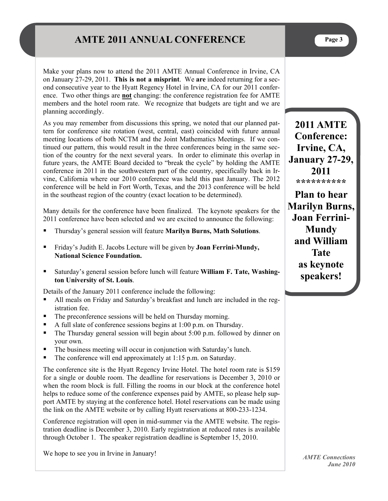## **AMTE 2011 ANNUAL CONFERENCE** Page 3

ence. Two other things are **not** changing: the conference registration fee for AMTE members and the hotel room rate. We recognize that budgets are tight and we are planning accordingly.

As you may remember from discussions this spring, we noted that our planned pattern for conference site rotation (west, central, east) coincided with future annual meeting locations of both NCTM and the Joint Mathematics Meetings. If we continued our pattern, this would result in the three conferences being in the same section of the country for the next several years. In order to eliminate this overlap in future years, the AMTE Board decided to "break the cycle" by holding the AMTE conference in 2011 in the southwestern part of the country, specifically back in Irvine, California where our 2010 conference was held this past January. The 2012 conference will be held in Fort Worth, Texas, and the 2013 conference will be held in the southeast region of the country (exact location to be determined).

Many details for the conference have been finalized. The keynote speakers for the 2011 conference have been selected and we are excited to announce the following:

- Thursday's general session will feature **Marilyn Burns, Math Solutions**.
- Friday's Judith E. Jacobs Lecture will be given by **Joan Ferrini-Mundy, National Science Foundation.**
- Saturday's general session before lunch will feature **William F. Tate, Washington University of St. Louis**.

Details of the January 2011 conference include the following:

- All meals on Friday and Saturday's breakfast and lunch are included in the registration fee.
- The preconference sessions will be held on Thursday morning.
- A full slate of conference sessions begins at  $1:00$  p.m. on Thursday.
- The Thursday general session will begin about 5:00 p.m. followed by dinner on your own.
- The business meeting will occur in conjunction with Saturday's lunch.
- $\blacksquare$  The conference will end approximately at 1:15 p.m. on Saturday.

The conference site is the Hyatt Regency Irvine Hotel. The hotel room rate is \$159 for a single or double room. The deadline for reservations is December 3, 2010 or when the room block is full. Filling the rooms in our block at the conference hotel helps to reduce some of the conference expenses paid by AMTE, so please help support AMTE by staying at the conference hotel. Hotel reservations can be made using the link on the AMTE website or by calling Hyatt reservations at 800-233-1234.

Conference registration will open in mid-summer via the AMTE website. The registration deadline is December 3, 2010. Early registration at reduced rates is available through October 1. The speaker registration deadline is September 15, 2010.

We hope to see you in Irvine in January!

**2011 AMTE Conference: Irvine, CA, January 27-29, 2011 \*\*\*\*\*\*\*\*\*\***

**Plan to hear Marilyn Burns, Joan Ferrini-Mundy and William Tate as keynote speakers!**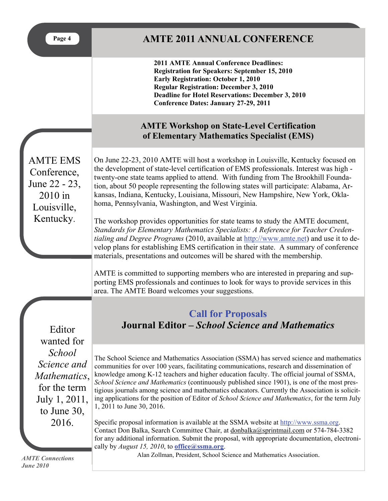## **AMTE 2011 ANNUAL CONFERENCE**

**2011 AMTE Annual Conference Deadlines: Registration for Speakers: September 15, 2010 Early Registration: October 1, 2010 Regular Registration: December 3, 2010 Deadline for Hotel Reservations: December 3, 2010 Conference Dates: January 27-29, 2011**

## **AMTE Workshop on State-Level Certification of Elementary Mathematics Specialist (EMS)**

AMTE EMS Conference, June 22 - 23, 2010 in Louisville, Kentucky.

On June 22-23, 2010 AMTE will host a workshop in Louisville, Kentucky focused on the development of state-level certification of EMS professionals. Interest was high twenty-one state teams applied to attend. With funding from The Brookhill Foundation, about 50 people representing the following states will participate: Alabama, Arkansas, Indiana, Kentucky, Louisiana, Missouri, New Hampshire, New York, Oklahoma, Pennsylvania, Washington, and West Virginia.

The workshop provides opportunities for state teams to study the AMTE document, *Standards for Elementary Mathematics Specialists: A Reference for Teacher Credentialing and Degree Programs* (2010, available at [http://www.amte.net](http://www.amte.net/)) and use it to develop plans for establishing EMS certification in their state. A summary of conference materials, presentations and outcomes will be shared with the membership.

AMTE is committed to supporting members who are interested in preparing and supporting EMS professionals and continues to look for ways to provide services in this area. The AMTE Board welcomes your suggestions.

Editor wanted for *School Science and Mathematics*, for the term July 1, 2011, to June 30, 2016.

## **Call for Proposals Journal Editor –** *School Science and Mathematics*

The School Science and Mathematics Association (SSMA) has served science and mathematics communities for over 100 years, facilitating communications, research and dissemination of knowledge among K-12 teachers and higher education faculty. The official journal of SSMA, *School Science and Mathematics* (continuously published since 1901), is one of the most prestigious journals among science and mathematics educators. Currently the Association is soliciting applications for the position of Editor of *School Science and Mathematics*, for the term July 1, 2011 to June 30, 2016.

Specific proposal information is available at the SSMA website at [http://www.ssma.org](http://www.ssma.org/). Contact Don Balka, Search Committee Chair, at [donbalka@sprintmail.com](mailto:donbalka@sprintmail.com) or 574-784-3382 for any additional information. Submit the proposal, with appropriate documentation, electronically by *August 15, 2010*, to **[office@ssma.org](mailto:office@ssma.org)**.

*AMTE Connections June 2010* 

Alan Zollman, President, School Science and Mathematics Association.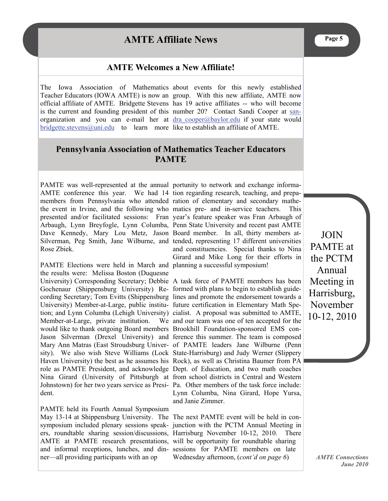## **AMTE Affiliate News**

#### **AMTE Welcomes a New Affiliate!**

The Iowa Association of Mathematics about events for this newly established Teacher Educators (IOWA AMTE) is now an group. With this new affiliate, AMTE now official affiliate of AMTE. Bridgette Stevens has 19 active affiliates -- who will become is the current and founding president of this number 20? Contact Sandi Cooper at [san](mailto:sandra_cooper@baylor.edu)organization and you can e-mail her at dra cooper@baylor.edu if your state would  $bridge the \n *stevens* @ *uni.edu* to learn more like to establish an *affiliate* of AMTE.$ 

#### **Pennsylvania Association of Mathematics Teacher Educators PAMTE**

AMTE conference this year. We had 14 tion regarding research, teaching, and prepamembers from Pennsylvania who attended ration of elementary and secondary mathethe event in Irvine, and the following who matics pre- and in-service teachers. This presented and/or facilitated sessions: Fran year's feature speaker was Fran Arbaugh of Arbaugh, Lynn Breyfogle, Lynn Columba, Penn State University and recent past AMTE Dave Kennedy, Mary Lou Metz, Jason Board member. In all, thirty members at-Silverman, Peg Smith, Jane Wilburne, and tended, representing 17 different universities Rose Zbiek.

PAMTE Elections were held in March and planning a successful symposium! the results were: Melissa Boston (Duquesne University) Corresponding Secretary; Debbie A task force of PAMTE members has been Gochenaur (Shippensburg University) Re-formed with plans to begin to establish guidecording Secretary; Tom Evitts (Shippensburg lines and promote the endorsement towards a University) Member-at-Large, public institu-future certification in Elementary Math Spetion; and Lynn Columba (Lehigh University) cialist. A proposal was submitted to AMTE, Member-at-Large, private institution. would like to thank outgoing Board members Brookhill Foundation-sponsored EMS con-Jason Silverman (Drexel University) and ference this summer. The team is composed Mary Ann Matras (East Stroudsburg Univer-of PAMTE leaders Jane Wilburne (Penn sity). We also wish Steve Williams (Lock State-Harrisburg) and Judy Werner (Slippery Haven University) the best as he assumes his Rock), as well as Christina Baumer from PA role as PAMTE President, and acknowledge Dept. of Education, and two math coaches Nina Girard (University of Pittsburgh at from school districts in Central and Western Johnstown) for her two years service as Presi-Pa. Other members of the task force include: dent.

PAMTE held its Fourth Annual Symposium May 13-14 at Shippensburg University. The The next PAMTE event will be held in consymposium included plenary sessions speak-junction with the PCTM Annual Meeting in ers, roundtable sharing session/discussions, Harrisburg November 10-12, 2010. There AMTE at PAMTE research presentations, will be opportunity for roundtable sharing and informal receptions, lunches, and din-sessions for PAMTE members on late ner—all providing participants with an op

PAMTE was well-represented at the annual portunity to network and exchange informaand constituencies. Special thanks to Nina Girard and Mike Long for their efforts in

> We and our team was one of ten accepted for the Lynn Columba, Nina Girard, Hope Yursa, and Janie Zimmer.

> > Wednesday afternoon, (*cont'd on page 6*)

JOIN PAMTE at the PCTM Annual Meeting in Harrisburg, November 10-12, 2010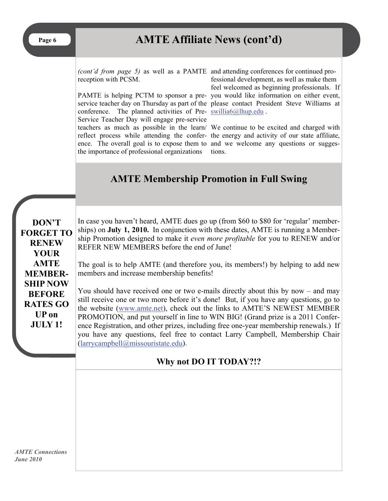## Page 6 **AMTE Affiliate News (cont'd)**

*(cont'd from page 5)* as well as a PAMTE and attending conferences for continued proreception with PCSM.

conference. The planned activities of Pre- [swillia6@lhup.edu](mailto:swillia6@lhup.edu). Service Teacher Day will engage pre-service the importance of professional organizations

PAMTE is helping PCTM to sponsor a pre-you would like information on either event, service teacher day on Thursday as part of the please contact President Steve Williams at fessional development, as well as make them feel welcomed as beginning professionals. If

teachers as much as possible in the learn/ We continue to be excited and charged with reflect process while attending the confer-the energy and activity of our state affiliate, ence. The overall goal is to expose them to and we welcome any questions or suggestions.

## **AMTE Membership Promotion in Full Swing**

**DON'T FORGET TO RENEW YOUR AMTE MEMBER-SHIP NOW BEFORE RATES GO UP on JULY 1!** 

In case you haven't heard, AMTE dues go up (from \$60 to \$80 for 'regular' memberships) on **July 1, 2010.** In conjunction with these dates, AMTE is running a Membership Promotion designed to make it *even more profitable* for you to RENEW and/or REFER NEW MEMBERS before the end of June!

The goal is to help AMTE (and therefore you, its members!) by helping to add new members and increase membership benefits!

You should have received one or two e-mails directly about this by now – and may still receive one or two more before it's done! But, if you have any questions, go to the website [\(www.amte.net](http://www.amte.net)), check out the links to AMTE'S NEWEST MEMBER PROMOTION, and put yourself in line to WIN BIG! (Grand prize is a 2011 Conference Registration, and other prizes, including free one-year membership renewals.) If you have any questions, feel free to contact Larry Campbell, Membership Chair [\(larrycampbell@missouristate.edu](mailto:larrycampbell@missouristate.edu)).

### **Why not DO IT TODAY?!?**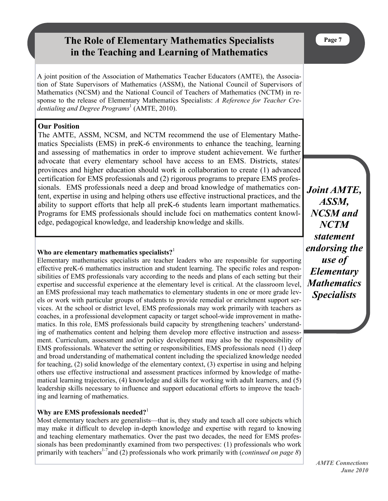## **The Role of Elementary Mathematics Specialists in the Teaching and Learning of Mathematics**

A joint position of the Association of Mathematics Teacher Educators (AMTE), the Association of State Supervisors of Mathematics (ASSM), the National Council of Supervisors of Mathematics (NCSM) and the National Council of Teachers of Mathematics (NCTM) in response to the release of Elementary Mathematics Specialists: *A Reference for Teacher Credentialing and Degree Programs*<sup>1</sup> (AMTE, 2010).

#### **Our Position**

The AMTE, ASSM, NCSM, and NCTM recommend the use of Elementary Mathematics Specialists (EMS) in preK-6 environments to enhance the teaching, learning and assessing of mathematics in order to improve student achievement. We further advocate that every elementary school have access to an EMS. Districts, states/ provinces and higher education should work in collaboration to create (1) advanced certification for EMS professionals and (2) rigorous programs to prepare EMS professionals. EMS professionals need a deep and broad knowledge of mathematics content, expertise in using and helping others use effective instructional practices, and the ability to support efforts that help all preK-6 students learn important mathematics. Programs for EMS professionals should include foci on mathematics content knowledge, pedagogical knowledge, and leadership knowledge and skills.

#### **Who are elementary mathematics specialists?**<sup>1</sup>

Elementary mathematics specialists are teacher leaders who are responsible for supporting effective preK-6 mathematics instruction and student learning. The specific roles and responsibilities of EMS professionals vary according to the needs and plans of each setting but their expertise and successful experience at the elementary level is critical. At the classroom level, an EMS professional may teach mathematics to elementary students in one or more grade levels or work with particular groups of students to provide remedial or enrichment support services. At the school or district level, EMS professionals may work primarily with teachers as coaches, in a professional development capacity or target school-wide improvement in mathematics. In this role, EMS professionals build capacity by strengthening teachers' understanding of mathematics content and helping them develop more effective instruction and assessment. Curriculum, assessment and/or policy development may also be the responsibility of EMS professionals. Whatever the setting or responsibilities, EMS professionals need (1) deep and broad understanding of mathematical content including the specialized knowledge needed for teaching, (2) solid knowledge of the elementary context, (3) expertise in using and helping others use effective instructional and assessment practices informed by knowledge of mathematical learning trajectories, (4) knowledge and skills for working with adult learners, and (5) leadership skills necessary to influence and support educational efforts to improve the teaching and learning of mathematics.

#### **Why are EMS professionals needed?**<sup>1</sup>

Most elementary teachers are generalists—that is, they study and teach all core subjects which may make it difficult to develop in-depth knowledge and expertise with regard to knowing and teaching elementary mathematics. Over the past two decades, the need for EMS professionals has been predominantly examined from two perspectives: (1) professionals who work primarily with teachers<sup>1-7</sup>and (2) professionals who work primarily with (*continued on page 8*)

*Joint AMTE, ASSM, NCSM and NCTM statement endorsing the use of Elementary Mathematics Specialists*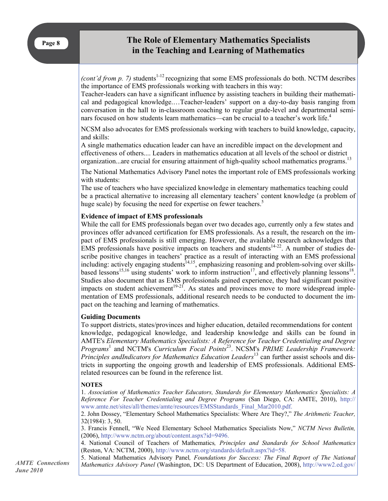#### **The Role of Elementary Mathematics Specialists in the Teaching and Learning of Mathematics**

*(cont'd from p. 7)* students<sup>1-12</sup> recognizing that some EMS professionals do both. NCTM describes the importance of EMS professionals working with teachers in this way:

Teacher-leaders can have a significant influence by assisting teachers in building their mathematical and pedagogical knowledge.…Teacher-leaders' support on a day-to-day basis ranging from conversation in the hall to in-classroom coaching to regular grade-level and departmental seminars focused on how students learn mathematics—can be crucial to a teacher's work life.<sup>4</sup>

NCSM also advocates for EMS professionals working with teachers to build knowledge, capacity, and skills:

A single mathematics education leader can have an incredible impact on the development and effectiveness of others.... Leaders in mathematics education at all levels of the school or district organization...are crucial for ensuring attainment of high-quality school mathematics programs.<sup>13</sup>

The National Mathematics Advisory Panel notes the important role of EMS professionals working with students:

The use of teachers who have specialized knowledge in elementary mathematics teaching could be a practical alternative to increasing all elementary teachers' content knowledge (a problem of huge scale) by focusing the need for expertise on fewer teachers.<sup>5</sup>

#### **Evidence of impact of EMS professionals**

While the call for EMS professionals began over two decades ago, currently only a few states and provinces offer advanced certification for EMS professionals. As a result, the research on the impact of EMS professionals is still emerging. However, the available research acknowledges that  $EMS$  professionals have positive impacts on teachers and students<sup>14-22</sup>. A number of studies describe positive changes in teachers' practice as a result of interacting with an EMS professional including: actively engaging students<sup>14,15</sup>, emphasizing reasoning and problem-solving over skillsbased lessons<sup>15,16</sup> using students' work to inform instruction<sup>17</sup>, and effectively planning lessons<sup>18</sup>. Studies also document that as EMS professionals gained experience, they had significant positive impacts on student achievement<sup>19-21</sup>. As states and provinces move to more widespread implementation of EMS professionals, additional research needs to be conducted to document the impact on the teaching and learning of mathematics.

#### **Guiding Documents**

To support districts, states/provinces and higher education, detailed recommendations for content knowledge, pedagogical knowledge, and leadership knowledge and skills can be found in AMTE's *Elementary Mathematics Specialists: A Reference for Teacher Credentialing and Degree Programs*<sup>1</sup> and NCTM's *Curriculum Focal Points*23. NCSM's *PRIME Leadership Framework: Principles andIndicators for Mathematics Education Leaders*13 can further assist schools and districts in supporting the ongoing growth and leadership of EMS professionals. Additional EMSrelated resources can be found in the reference list.

#### **NOTES**

1. *Association of Mathematics Teacher Educators, Standards for Elementary Mathematics Specialists: A Reference For Teacher Credentialing and Degree Programs* (San Diego, CA: AMTE, 2010), http:// www.amte.net/sites/all/themes/amte/resources/EMSStandards\_Final\_Mar2010.pdf.

2. John Dossey, "Elementary School Mathematics Specialists: Where Are They?," *The Arithmetic Teacher,* 32(1984): 3, 50.

3. Francis Fennell, "We Need Elementary School Mathematics Specialists Now," *NCTM News Bulletin,* (2006), http://www.nctm.org/about/content.aspx?id=9496.

4. National Council of Teachers of Mathematics*, Principles and Standards for School Mathematics* (Reston, VA: NCTM, 2000), http://www.nctm.org/standards/default.aspx?id=58.

5. National Mathematics Advisory Panel*, Foundations for Success: The Final Report of The National Mathematics Advisory Panel* (Washington, DC: US Department of Education, 2008), http://www2.ed.gov/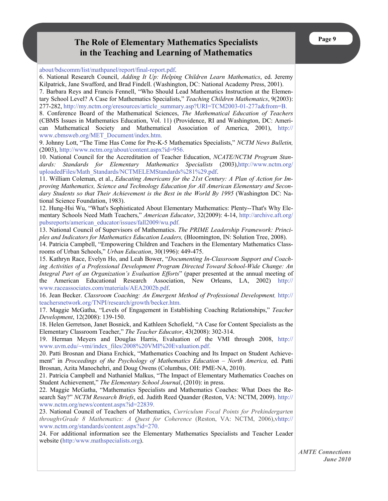#### **The Role of Elementary Mathematics Specialists in the Teaching and Learning of Mathematics**

about/bdscomm/list/mathpanel/report/final-report.pdf.

6. National Research Council, *Adding It Up: Helping Children Learn Mathematics*, ed. Jeremy Kilpatrick, Jane Swafford, and Brad Findell. (Washington, DC: National Academy Press, 2001).

7. Barbara Reys and Francis Fennell, "Who Should Lead Mathematics Instruction at the Elementary School Level? A Case for Mathematics Specialists," *Teaching Children Mathematics*, 9(2003): 277-282, http://my.nctm.org/eresources/article\_summary.asp?URI=TCM2003-01-277a&from=B.

8. Conference Board of the Mathematical Sciences, *The Mathematical Education of Teachers*  (CBMS Issues in Mathematics Education, Vol. 11) (Providence, RI and Washington, DC: American Mathematical Society and Mathematical Association of America, 2001), http:// www.cbmsweb.org/MET\_Document/index.htm.

9. Johnny Lott, "The Time Has Come for Pre-K-5 Mathematics Specialists," *NCTM News Bulletin,* (2003), http://www.nctm.org/about/content.aspx?id=956.

10. National Council for the Accreditation of Teacher Education, *NCATE/NCTM Program Stan*dards: Standards for Elementary Mathematics Specialists (2003),http://www.nctm.org/ uploadedFiles/Math\_Standards/NCTMELEMStandards%281%29.pdf.

11. William Coleman, et al., *Educating Americans for the 21st Century: A Plan of Action for Improving Mathematics, Science and Technology Education for All American Elementary and Secondary Students so that Their Achievement is the Best in the World By 1995* (Washington DC: National Science Foundation, 1983).

12. Hung-Hsi Wu, "What's Sophisticated About Elementary Mathematics: Plenty--That's Why Elementary Schools Need Math Teachers," *American Educator*, 32(2009): 4-14, http://archive.aft.org/ pubsreports/american\_educator/issues/fall2009/wu.pdf.

13. National Council of Supervisors of Mathematics. *The PRIME Leadership Framework: Principles and Indicators for Mathematics Education Leaders,* (Bloomington, IN: Solution Tree, 2008).

14. Patricia Campbell, "Empowering Children and Teachers in the Elementary Mathematics Classrooms of Urban Schools," *Urban Education*, 30(1996): 449-475.

15. Kathryn Race, Evelyn Ho, and Leah Bower, "*Documenting In-Classroom Support and Coaching Activities of a Professional Development Program Directed Toward School-Wide Change: An Integral Part of an Organization's Evaluation Efforts*" (paper presented at the annual meeting of the American Educational Research Association, New Orleans, LA, 2002) http:// www.raceassociates.com/materials/AEA2002b.pdf.

16. Jean Becker. *Classroom Coaching: An Emergent Method of Professional Development,* http:// teachersnetwork.org/TNPI/research/growth/becker.htm.

17. Maggie McGatha, "Levels of Engagement in Establishing Coaching Relationships," *Teacher Development*, 12(2008): 139-150.

18. Helen Gerretson, Janet Bosnick, and Kathleen Schofield, "A Case for Content Specialists as the Elementary Classroom Teacher," *The Teacher Educator*, 43(2008): 302-314.

19. Herman Meyers and Douglas Harris, Evaluation of the VMI through 2008, http:// www.uvm.edu/~vmi/index\_files/2008%20VMI%20Evaluation.pdf.

20. Patti Brosnan and Diana Erchick, "Mathematics Coaching and Its Impact on Student Achievement" in *Proceedings of the Psychology of Mathematics Education – North America,* ed. Patti Brosnan, Azita Manochehri, and Doug Owens (Columbus, OH: PME-NA, 2010).

21. Patricia Campbell and Nathaniel Malkus, "The Impact of Elementary Mathematics Coaches on Student Achievement," *The Elementary School Journal*, (2010): in press.

22. Maggie McGatha, "Mathematics Specialists and Mathematics Coaches: What Does the Research Say?" *NCTM Research Briefs*, ed. Judith Reed Quander (Reston, VA: NCTM, 2009). http:// www.nctm.org/news/content.aspx?id=22839.

23. National Council of Teachers of Mathematics, *Curriculum Focal Points for Prekindergarten throughvGrade 8 Mathematics: A Quest for Coherence* (Reston, VA: NCTM, 2006),vhttp:// www.nctm.org/standards/content.aspx?id=270.

24. For additional information see the Elementary Mathematics Specialists and Teacher Leader website (http:/www.mathspecialists.org).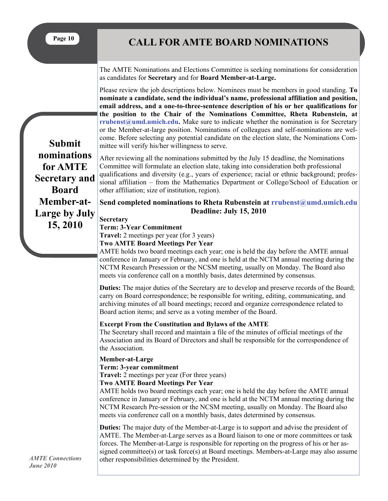**Page 10** 

## **CALL FOR AMTE BOARD NOMINATIONS**

The AMTE Nominations and Elections Committee is seeking nominations for consideration as candidates for **Secretary** and for **Board Member-at-Large.** 

Please review the job descriptions below. Nominees must be members in good standing. **To nominate a candidate, send the individual's name, professional affiliation and position, email address, and a one-to-three-sentence description of his or her qualifications for the position to the Chair of the Nominations Committee, Rheta Rubenstein, at rrubenst@umd.umich.edu.** Make sure to indicate whether the nomination is for Secretary or the Member-at-large position. Nominations of colleagues and self-nominations are welcome. Before selecting any potential candidate on the election slate, the Nominations Committee will verify his/her willingness to serve.

After reviewing all the nominations submitted by the July 15 deadline, the Nominations Committee will formulate an election slate, taking into consideration both professional qualifications and diversity (e.g., years of experience; racial or ethnic background; professional affiliation – from the Mathematics Department or College/School of Education or other affiliation; size of institution, region).

**Send completed nominations to Rheta Rubenstein at rrubenst@umd.umich.edu Deadline: July 15, 2010** 

**Secretary** 

**Term: 3-Year Commitment** 

**Travel:** 2 meetings per year (for 3 years)

**Two AMTE Board Meetings Per Year** 

AMTE holds two board meetings each year; one is held the day before the AMTE annual conference in January or February, and one is held at the NCTM annual meeting during the NCTM Research Presession or the NCSM meeting, usually on Monday. The Board also meets via conference call on a monthly basis, dates determined by consensus.

**Duties:** The major duties of the Secretary are to develop and preserve records of the Board; carry on Board correspondence; be responsible for writing, editing, communicating, and archiving minutes of all board meetings; record and organize correspondence related to Board action items; and serve as a voting member of the Board.

#### **Excerpt From the Constitution and Bylaws of the AMTE**

The Secretary shall record and maintain a file of the minutes of official meetings of the Association and its Board of Directors and shall be responsible for the correspondence of the Association.

#### **Member-at-Large**

**Term: 3-year commitment** 

**Travel:** 2 meetings per year (For three years)

#### **Two AMTE Board Meetings Per Year**

AMTE holds two board meetings each year; one is held the day before the AMTE annual conference in January or February, and one is held at the NCTM annual meeting during the NCTM Research Pre-session or the NCSM meeting, usually on Monday. The Board also meets via conference call on a monthly basis, dates determined by consensus.

**Duties:** The major duty of the Member-at-Large is to support and advise the president of AMTE. The Member-at-Large serves as a Board liaison to one or more committees or task forces. The Member-at-Large is responsible for reporting on the progress of his or her assigned committee(s) or task force(s) at Board meetings. Members-at-Large may also assume other responsibilities determined by the President.

**Submit nominations for AMTE Secretary and Board Member-at-Large by July 15, 2010**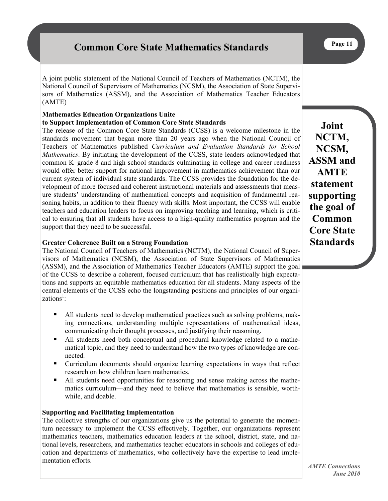## **Common Core State Mathematics Standards**

A joint public statement of the National Council of Teachers of Mathematics (NCTM), the National Council of Supervisors of Mathematics (NCSM), the Association of State Supervisors of Mathematics (ASSM), and the Association of Mathematics Teacher Educators (AMTE)

## **Mathematics Education Organizations Unite**

#### **to Support Implementation of Common Core State Standards**

The release of the Common Core State Standards (CCSS) is a welcome milestone in the standards movement that began more than 20 years ago when the National Council of Teachers of Mathematics published *Curriculum and Evaluation Standards for School Mathematics*. By initiating the development of the CCSS, state leaders acknowledged that common K–grade 8 and high school standards culminating in college and career readiness would offer better support for national improvement in mathematics achievement than our current system of individual state standards. The CCSS provides the foundation for the development of more focused and coherent instructional materials and assessments that measure students' understanding of mathematical concepts and acquisition of fundamental reasoning habits, in addition to their fluency with skills. Most important, the CCSS will enable teachers and education leaders to focus on improving teaching and learning, which is critical to ensuring that all students have access to a high-quality mathematics program and the support that they need to be successful.

#### **Greater Coherence Built on a Strong Foundation**

The National Council of Teachers of Mathematics (NCTM), the National Council of Supervisors of Mathematics (NCSM), the Association of State Supervisors of Mathematics (ASSM), and the Association of Mathematics Teacher Educators (AMTE) support the goal of the CCSS to describe a coherent, focused curriculum that has realistically high expectations and supports an equitable mathematics education for all students. Many aspects of the central elements of the CCSS echo the longstanding positions and principles of our organizations<sup>1</sup>:

- All students need to develop mathematical practices such as solving problems, making connections, understanding multiple representations of mathematical ideas, communicating their thought processes, and justifying their reasoning.
- All students need both conceptual and procedural knowledge related to a mathematical topic, and they need to understand how the two types of knowledge are connected.
- Curriculum documents should organize learning expectations in ways that reflect research on how children learn mathematics.
- All students need opportunities for reasoning and sense making across the mathematics curriculum—and they need to believe that mathematics is sensible, worthwhile, and doable.

#### **Supporting and Facilitating Implementation**

The collective strengths of our organizations give us the potential to generate the momentum necessary to implement the CCSS effectively. Together, our organizations represent mathematics teachers, mathematics education leaders at the school, district, state, and national levels, researchers, and mathematics teacher educators in schools and colleges of education and departments of mathematics, who collectively have the expertise to lead implementation efforts.

**Joint NCTM, NCSM, ASSM and AMTE statement supporting the goal of Common Core State Standards**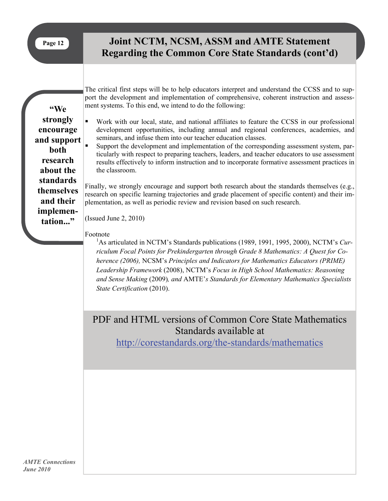## **Joint NCTM, NCSM, ASSM and AMTE Statement Regarding the Common Core State Standards (cont'd)**

**"We strongly encourage and support both research about the standards themselves and their implementation..."** 

The critical first steps will be to help educators interpret and understand the CCSS and to support the development and implementation of comprehensive, coherent instruction and assessment systems. To this end, we intend to do the following:

- Work with our local, state, and national affiliates to feature the CCSS in our professional development opportunities, including annual and regional conferences, academies, and seminars, and infuse them into our teacher education classes.
- Support the development and implementation of the corresponding assessment system, particularly with respect to preparing teachers, leaders, and teacher educators to use assessment results effectively to inform instruction and to incorporate formative assessment practices in the classroom.

Finally, we strongly encourage and support both research about the standards themselves (e.g., research on specific learning trajectories and grade placement of specific content) and their implementation, as well as periodic review and revision based on such research.

(Issued June 2, 2010)

#### Footnote

<sup>1</sup>As articulated in NCTM's Standards publications (1989, 1991, 1995, 2000), NCTM's *Curriculum Focal Points for Prekindergarten through Grade 8 Mathematics: A Quest for Coherence (2006),* NCSM's *Principles and Indicators for Mathematics Educators (PRIME) Leadership Framework* (2008), NCTM's *Focus in High School Mathematics: Reasoning and Sense Making* (2009)*, and* AMTE'*s Standards for Elementary Mathematics Specialists State Certification* (2010).

## PDF and HTML versions of Common Core State Mathematics Standards available at

<http://corestandards.org/the-standards/mathematics>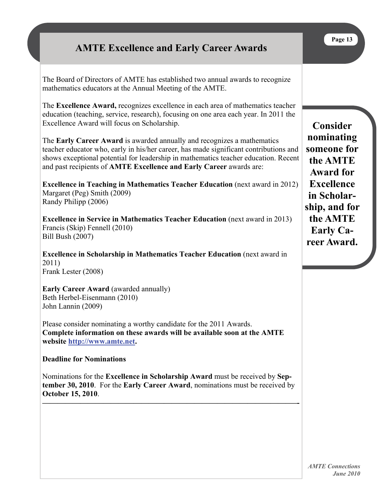## **AMTE Excellence and Early Career Awards**

The Board of Directors of AMTE has established two annual awards to recognize mathematics educators at the Annual Meeting of the AMTE.

The **Excellence Award,** recognizes excellence in each area of mathematics teacher education (teaching, service, research), focusing on one area each year. In 2011 the Excellence Award will focus on Scholarship.

The **Early Career Award** is awarded annually and recognizes a mathematics teacher educator who, early in his/her career, has made significant contributions and shows exceptional potential for leadership in mathematics teacher education. Recent and past recipients of **AMTE Excellence and Early Career** awards are:

**Excellence in Teaching in Mathematics Teacher Education** (next award in 2012) Margaret (Peg) Smith (2009) Randy Philipp (2006)

**Excellence in Service in Mathematics Teacher Education** (next award in 2013) Francis (Skip) Fennell (2010) Bill Bush (2007)

**Excellence in Scholarship in Mathematics Teacher Education** (next award in 2011) Frank Lester (2008)

**Early Career Award** (awarded annually) Beth Herbel-Eisenmann (2010) John Lannin (2009)

Please consider nominating a worthy candidate for the 2011 Awards. **Complete information on these awards will be available soon at the AMTE website<http://www.amte.net>.** 

#### **Deadline for Nominations**

Nominations for the **Excellence in Scholarship Award** must be received by **September 30, 2010**. For the **Early Career Award**, nominations must be received by **October 15, 2010**.

**—————————————————————————————————–-**

**Consider nominating someone for the AMTE Award for Excellence in Scholarship, and for the AMTE Early Career Award.** 

**Page 13**